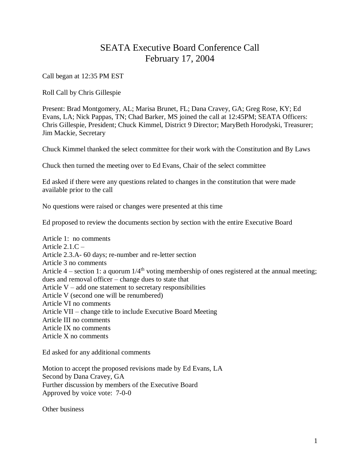## SEATA Executive Board Conference Call February 17, 2004

Call began at 12:35 PM EST

Roll Call by Chris Gillespie

Present: Brad Montgomery, AL; Marisa Brunet, FL; Dana Cravey, GA; Greg Rose, KY; Ed Evans, LA; Nick Pappas, TN; Chad Barker, MS joined the call at 12:45PM; SEATA Officers: Chris Gillespie, President; Chuck Kimmel, District 9 Director; MaryBeth Horodyski, Treasurer; Jim Mackie, Secretary

Chuck Kimmel thanked the select committee for their work with the Constitution and By Laws

Chuck then turned the meeting over to Ed Evans, Chair of the select committee

Ed asked if there were any questions related to changes in the constitution that were made available prior to the call

No questions were raised or changes were presented at this time

Ed proposed to review the documents section by section with the entire Executive Board

Article 1: no comments Article  $2.1.C -$ Article 2.3.A- 60 days; re-number and re-letter section Article 3 no comments Article  $4$  – section 1: a quorum  $1/4<sup>th</sup>$  voting membership of ones registered at the annual meeting; dues and removal officer – change dues to state that Article  $V - add$  one statement to secretary responsibilities Article V (second one will be renumbered) Article VI no comments Article VII – change title to include Executive Board Meeting Article III no comments Article IX no comments Article X no comments

Ed asked for any additional comments

Motion to accept the proposed revisions made by Ed Evans, LA Second by Dana Cravey, GA Further discussion by members of the Executive Board Approved by voice vote: 7-0-0

Other business